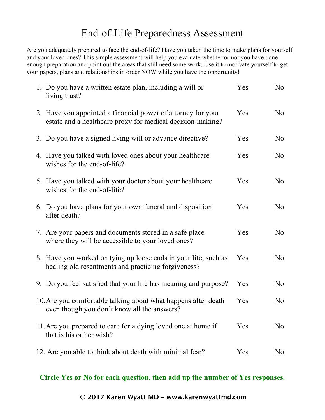## End-of-Life Preparedness Assessment

Are you adequately prepared to face the end-of-life? Have you taken the time to make plans for yourself and your loved ones? This simple assessment will help you evaluate whether or not you have done enough preparation and point out the areas that still need some work. Use it to motivate yourself to get your papers, plans and relationships in order NOW while you have the opportunity!

| 1. Do you have a written estate plan, including a will or<br>living trust?                                                 | Yes | No             |
|----------------------------------------------------------------------------------------------------------------------------|-----|----------------|
| 2. Have you appointed a financial power of attorney for your<br>estate and a healthcare proxy for medical decision-making? | Yes | N <sub>0</sub> |
| 3. Do you have a signed living will or advance directive?                                                                  | Yes | N <sub>0</sub> |
| 4. Have you talked with loved ones about your healthcare<br>wishes for the end-of-life?                                    | Yes | N <sub>0</sub> |
| 5. Have you talked with your doctor about your healthcare<br>wishes for the end-of-life?                                   | Yes | N <sub>0</sub> |
| 6. Do you have plans for your own funeral and disposition<br>after death?                                                  | Yes | No             |
| 7. Are your papers and documents stored in a safe place<br>where they will be accessible to your loved ones?               | Yes | No             |
| 8. Have you worked on tying up loose ends in your life, such as<br>healing old resentments and practicing forgiveness?     | Yes | N <sub>0</sub> |
| 9. Do you feel satisfied that your life has meaning and purpose?                                                           | Yes | No             |
| 10. Are you comfortable talking about what happens after death<br>even though you don't know all the answers?              | Yes | No             |
| 11. Are you prepared to care for a dying loved one at home if<br>that is his or her wish?                                  | Yes | No             |
| 12. Are you able to think about death with minimal fear?                                                                   | Yes | N <sub>0</sub> |

**Circle Yes or No for each question, then add up the number of Yes responses.**

**© 2017 Karen Wyatt MD – www.karenwyattmd.com**